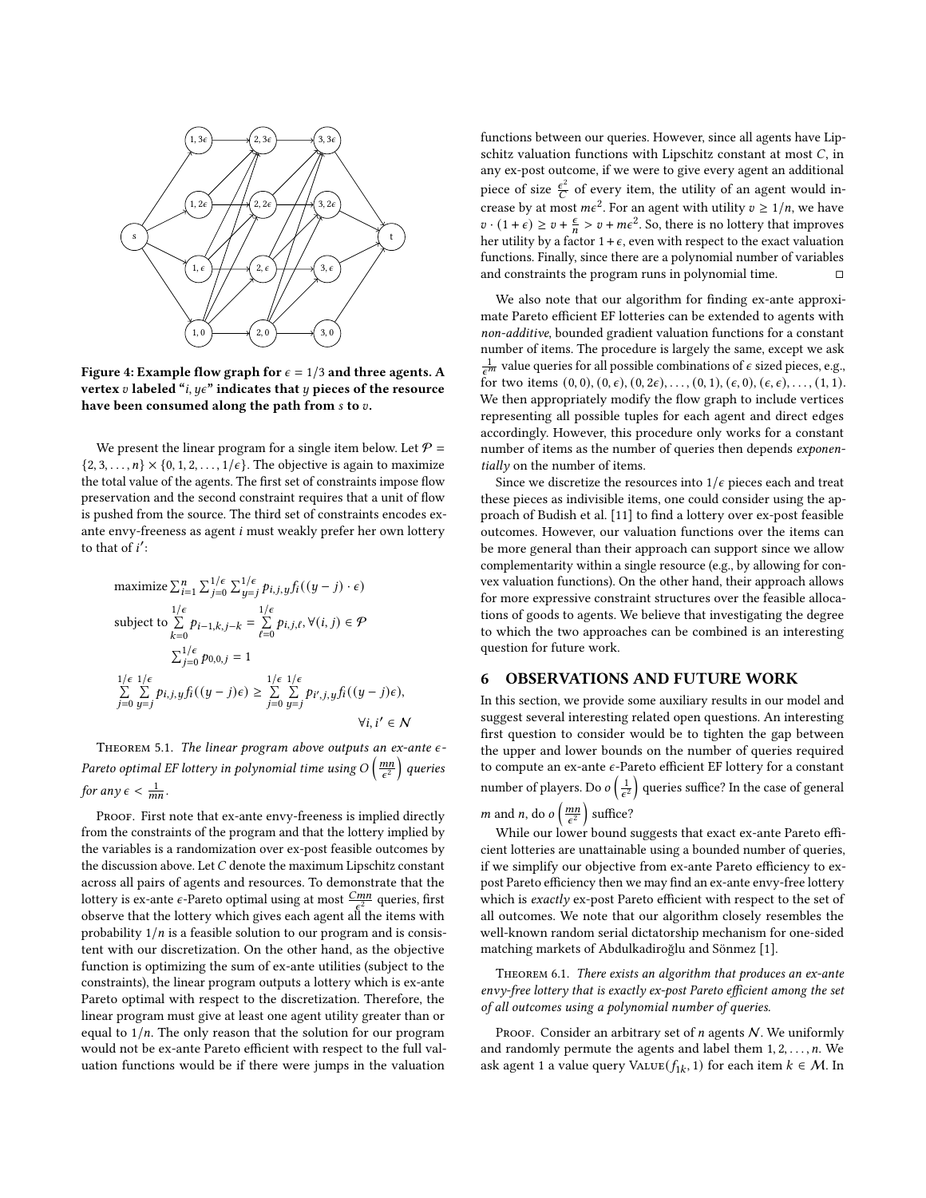

Figure 4: Example flow graph for  $\epsilon = 1/3$  and three agents. A vertex  $v$  labeled "*i*,  $y \in \mathbb{R}^n$  indicates that  $y$  pieces of the resource have been consumed along the path from  $s$  to  $v$ .

We present the linear program for a single item below. Let  $P =$  $\{2, 3, \ldots, n\} \times \{0, 1, 2, \ldots, 1/\epsilon\}$ . The objective is again to maximize the total value of the agents. The first set of constraints impose flow preservation and the second constraint requires that a unit of flow is pushed from the source. The third set of constraints encodes exante envy-freeness as agent  $i$  must weakly prefer her own lottery to that of  $i'$ :

$$
\begin{aligned} & \text{maximize} \ \sum_{i=1}^n \sum_{j=0}^{1/\epsilon} \sum_{y=j}^{1/\epsilon} p_{i,j,y} f_i((y-j)\cdot\epsilon) \\ & \text{subject to } \sum_{k=0}^{1/\epsilon} p_{i-1,k,j-k} = \sum_{\ell=0}^{1/\epsilon} p_{i,j,\ell}, \forall (i,j) \in \mathcal{P} \\ & \sum_{j=0}^{1/\epsilon} p_{0,0,j} = 1 \\ & \sum_{j=0}^{1/\epsilon} \sum_{y=j}^{1/\epsilon} p_{i,j,y} f_i((y-j)\epsilon) \geq \sum_{j=0}^{1/\epsilon} \sum_{y=j}^{1/\epsilon} p_{i',j,y} f_i((y-j)\epsilon), \\ & \forall i, i' \in \mathcal{N} \end{aligned}
$$

<span id="page-6-0"></span>THEOREM 5.1. The linear program above outputs an ex-ante  $\epsilon$ -Pareto optimal EF lottery in polynomial time using O  $\left(\frac{mn}{\epsilon^2}\right)$  queries for any  $\epsilon < \frac{1}{mn}$ .

PROOF. First note that ex-ante envy-freeness is implied directly from the constraints of the program and that the lottery implied by the variables is a randomization over ex-post feasible outcomes by the discussion above. Let  $C$  denote the maximum Lipschitz constant across all pairs of agents and resources. To demonstrate that the lottery is ex-ante  $\epsilon$ -Pareto optimal using at most  $\frac{Cmn}{\epsilon^2}$  queries, first observe that the lottery which gives each agent all the items with probability  $1/n$  is a feasible solution to our program and is consistent with our discretization. On the other hand, as the objective function is optimizing the sum of ex-ante utilities (subject to the constraints), the linear program outputs a lottery which is ex-ante Pareto optimal with respect to the discretization. Therefore, the linear program must give at least one agent utility greater than or equal to  $1/n$ . The only reason that the solution for our program would not be ex-ante Pareto efficient with respect to the full valuation functions would be if there were jumps in the valuation

functions between our queries. However, since all agents have Lipschitz valuation functions with Lipschitz constant at most  $C$ , in any ex-post outcome, if we were to give every agent an additional piece of size  $\frac{\epsilon^2}{C}$  of every item, the utility of an agent would increase by at most  $m\epsilon^2$ . For an agent with utility  $v \ge 1/n$ , we have  $v \cdot (1 + \epsilon) \ge v + \frac{\epsilon}{n} > v + m\epsilon^2$ . So, there is no lottery that improves her utility by a factor  $1 + \epsilon$ , even with respect to the exact valuation functions. Finally, since there are a polynomial number of variables and constraints the program runs in polynomial time.  $□$ 

We also note that our algorithm for finding ex-ante approximate Pareto efficient EF lotteries can be extended to agents with non-additive, bounded gradient valuation functions for a constant number of items. The procedure is largely the same, except we ask  $\frac{1}{\epsilon^m}$  value queries for all possible combinations of  $\epsilon$  sized pieces, e.g., for two items  $(0, 0), (0, \epsilon), (0, 2\epsilon), \ldots, (0, 1), (\epsilon, 0), (\epsilon, \epsilon), \ldots, (1, 1).$ We then appropriately modify the flow graph to include vertices representing all possible tuples for each agent and direct edges accordingly. However, this procedure only works for a constant number of items as the number of queries then depends exponentially on the number of items.

Since we discretize the resources into  $1/\epsilon$  pieces each and treat these pieces as indivisible items, one could consider using the approach of Budish et al. [\[11\]](#page-7-0) to find a lottery over ex-post feasible outcomes. However, our valuation functions over the items can be more general than their approach can support since we allow complementarity within a single resource (e.g., by allowing for convex valuation functions). On the other hand, their approach allows for more expressive constraint structures over the feasible allocations of goods to agents. We believe that investigating the degree to which the two approaches can be combined is an interesting question for future work.

## 6 OBSERVATIONS AND FUTURE WORK

In this section, we provide some auxiliary results in our model and suggest several interesting related open questions. An interesting first question to consider would be to tighten the gap between the upper and lower bounds on the number of queries required to compute an ex-ante  $\epsilon$ -Pareto efficient EF lottery for a constant number of players. Do  $o\left(\frac{1}{\epsilon^2}\right)$  queries suffice? In the case of general *m* and *n*, do *o*  $\left(\frac{mn}{\epsilon^2}\right)$  suffice?

While our lower bound suggests that exact ex-ante Pareto efficient lotteries are unattainable using a bounded number of queries, if we simplify our objective from ex-ante Pareto efficiency to expost Pareto efficiency then we may find an ex-ante envy-free lottery which is exactly ex-post Pareto efficient with respect to the set of all outcomes. We note that our algorithm closely resembles the well-known random serial dictatorship mechanism for one-sided matching markets of Abdulkadiroğlu and Sönmez [\[1\]](#page-7-1).

THEOREM 6.1. There exists an algorithm that produces an ex-ante envy-free lottery that is exactly ex-post Pareto efficient among the set of all outcomes using a polynomial number of queries.

PROOF. Consider an arbitrary set of  $n$  agents  $N$ . We uniformly and randomly permute the agents and label them  $1, 2, \ldots, n$ . We ask agent 1 a value query  $\text{Value}(f_{1k}, 1)$  for each item  $k \in \mathcal{M}$ . In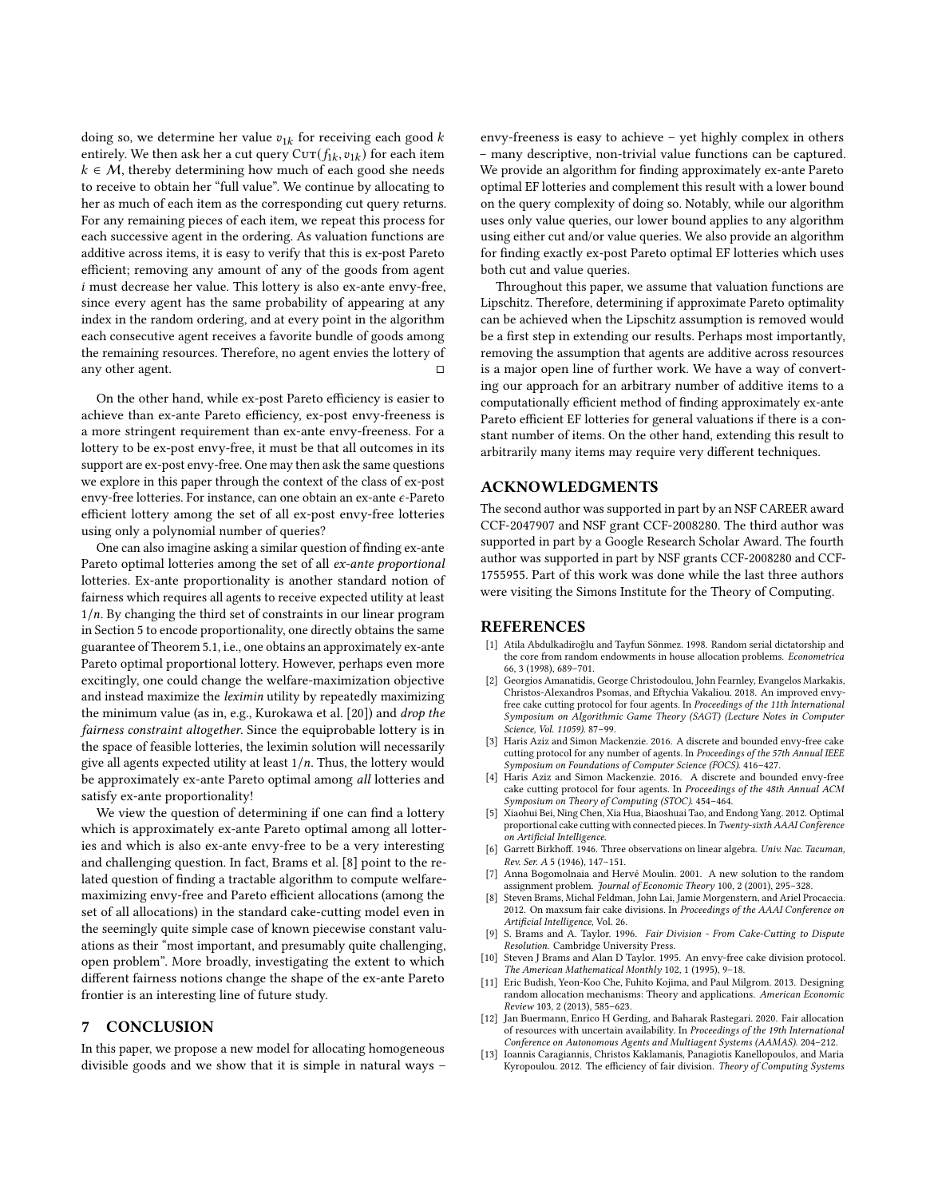doing so, we determine her value  $v_{1k}$  for receiving each good k entirely. We then ask her a cut query  $\text{Corr}(f_{1k}, v_{1k})$  for each item  $k \in \mathcal{M}$ , thereby determining how much of each good she needs to receive to obtain her "full value". We continue by allocating to her as much of each item as the corresponding cut query returns. For any remaining pieces of each item, we repeat this process for each successive agent in the ordering. As valuation functions are additive across items, it is easy to verify that this is ex-post Pareto efficient; removing any amount of any of the goods from agent i must decrease her value. This lottery is also ex-ante envy-free, since every agent has the same probability of appearing at any index in the random ordering, and at every point in the algorithm each consecutive agent receives a favorite bundle of goods among the remaining resources. Therefore, no agent envies the lottery of any other agent.

On the other hand, while ex-post Pareto efficiency is easier to achieve than ex-ante Pareto efficiency, ex-post envy-freeness is a more stringent requirement than ex-ante envy-freeness. For a lottery to be ex-post envy-free, it must be that all outcomes in its support are ex-post envy-free. One may then ask the same questions we explore in this paper through the context of the class of ex-post envy-free lotteries. For instance, can one obtain an ex-ante  $\epsilon$ -Pareto efficient lottery among the set of all ex-post envy-free lotteries using only a polynomial number of queries?

One can also imagine asking a similar question of finding ex-ante Pareto optimal lotteries among the set of all ex-ante proportional lotteries. Ex-ante proportionality is another standard notion of fairness which requires all agents to receive expected utility at least  $1/n$ . By changing the third set of constraints in our linear program in Section [5](#page-5-0) to encode proportionality, one directly obtains the same guarantee of Theorem [5.1,](#page-6-0) i.e., one obtains an approximately ex-ante Pareto optimal proportional lottery. However, perhaps even more excitingly, one could change the welfare-maximization objective and instead maximize the leximin utility by repeatedly maximizing the minimum value (as in, e.g., Kurokawa et al. [\[20\]](#page-8-0)) and drop the fairness constraint altogether. Since the equiprobable lottery is in the space of feasible lotteries, the leximin solution will necessarily give all agents expected utility at least  $1/n$ . Thus, the lottery would be approximately ex-ante Pareto optimal among all lotteries and satisfy ex-ante proportionality!

We view the question of determining if one can find a lottery which is approximately ex-ante Pareto optimal among all lotteries and which is also ex-ante envy-free to be a very interesting and challenging question. In fact, Brams et al. [\[8\]](#page-7-2) point to the related question of finding a tractable algorithm to compute welfaremaximizing envy-free and Pareto efficient allocations (among the set of all allocations) in the standard cake-cutting model even in the seemingly quite simple case of known piecewise constant valuations as their "most important, and presumably quite challenging, open problem". More broadly, investigating the extent to which different fairness notions change the shape of the ex-ante Pareto frontier is an interesting line of future study.

## 7 CONCLUSION

In this paper, we propose a new model for allocating homogeneous divisible goods and we show that it is simple in natural ways –

envy-freeness is easy to achieve – yet highly complex in others – many descriptive, non-trivial value functions can be captured. We provide an algorithm for finding approximately ex-ante Pareto optimal EF lotteries and complement this result with a lower bound on the query complexity of doing so. Notably, while our algorithm uses only value queries, our lower bound applies to any algorithm using either cut and/or value queries. We also provide an algorithm for finding exactly ex-post Pareto optimal EF lotteries which uses both cut and value queries.

Throughout this paper, we assume that valuation functions are Lipschitz. Therefore, determining if approximate Pareto optimality can be achieved when the Lipschitz assumption is removed would be a first step in extending our results. Perhaps most importantly, removing the assumption that agents are additive across resources is a major open line of further work. We have a way of converting our approach for an arbitrary number of additive items to a computationally efficient method of finding approximately ex-ante Pareto efficient EF lotteries for general valuations if there is a constant number of items. On the other hand, extending this result to arbitrarily many items may require very different techniques.

## ACKNOWLEDGMENTS

The second author was supported in part by an NSF CAREER award CCF-2047907 and NSF grant CCF-2008280. The third author was supported in part by a Google Research Scholar Award. The fourth author was supported in part by NSF grants CCF-2008280 and CCF-1755955. Part of this work was done while the last three authors were visiting the Simons Institute for the Theory of Computing.

## REFERENCES

- <span id="page-7-1"></span>[1] Atila Abdulkadiroğlu and Tayfun Sönmez. 1998. Random serial dictatorship and the core from random endowments in house allocation problems. Econometrica 66, 3 (1998), 689–701.
- [2] Georgios Amanatidis, George Christodoulou, John Fearnley, Evangelos Markakis, Christos-Alexandros Psomas, and Eftychia Vakaliou. 2018. An improved envyfree cake cutting protocol for four agents. In Proceedings of the 11th International Symposium on Algorithmic Game Theory (SAGT) (Lecture Notes in Computer Science, Vol. 11059). 87–99.
- [3] Haris Aziz and Simon Mackenzie. 2016. A discrete and bounded envy-free cake cutting protocol for any number of agents. In Proceedings of the 57th Annual IEEE Symposium on Foundations of Computer Science (FOCS). 416–427.
- Haris Aziz and Simon Mackenzie. 2016. A discrete and bounded envy-free cake cutting protocol for four agents. In Proceedings of the 48th Annual ACM Symposium on Theory of Computing (STOC). 454–464.
- [5] Xiaohui Bei, Ning Chen, Xia Hua, Biaoshuai Tao, and Endong Yang. 2012. Optimal proportional cake cutting with connected pieces. In Twenty-sixth AAAI Conference on Artificial Intelligence.
- [6] Garrett Birkhoff. 1946. Three observations on linear algebra. Univ. Nac. Tacuman, Rev. Ser. A 5 (1946), 147–151.
- [7] Anna Bogomolnaia and Hervé Moulin. 2001. A new solution to the random assignment problem. Journal of Economic Theory 100, 2 (2001), 295–328.
- <span id="page-7-2"></span>[8] Steven Brams, Michal Feldman, John Lai, Jamie Morgenstern, and Ariel Procaccia. 2012. On maxsum fair cake divisions. In Proceedings of the AAAI Conference on Artificial Intelligence, Vol. 26.
- S. Brams and A. Taylor. 1996. Fair Division From Cake-Cutting to Dispute Resolution. Cambridge University Press.
- [10] Steven J Brams and Alan D Taylor. 1995. An envy-free cake division protocol. The American Mathematical Monthly 102, 1 (1995), 9–18.
- <span id="page-7-0"></span>[11] Eric Budish, Yeon-Koo Che, Fuhito Kojima, and Paul Milgrom. 2013. Designing random allocation mechanisms: Theory and applications. American Economic Review 103, 2 (2013), 585–623.
- [12] Jan Buermann, Enrico H Gerding, and Baharak Rastegari. 2020. Fair allocation of resources with uncertain availability. In Proceedings of the 19th International Conference on Autonomous Agents and Multiagent Systems (AAMAS). 204–212.
- [13] Ioannis Caragiannis, Christos Kaklamanis, Panagiotis Kanellopoulos, and Maria Kyropoulou. 2012. The efficiency of fair division. Theory of Computing Systems